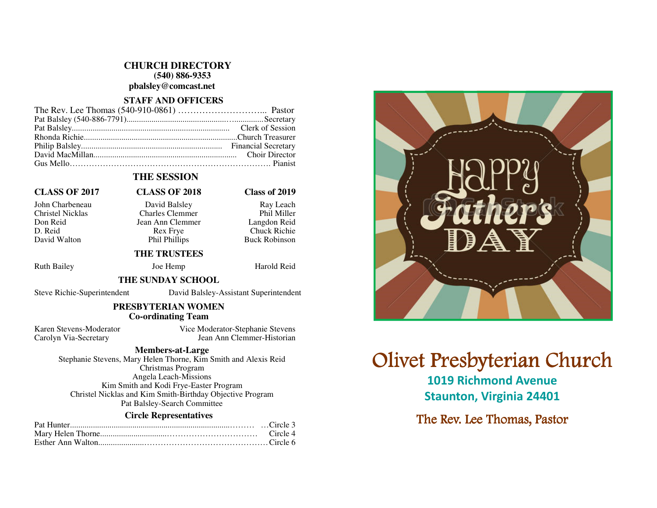# **CHURCH DIRECTORY (540) 886-9353 pbalsley@comcast.net**

# **STAFF AND OFFICERS**

# **THE SESSION**

# **CLASS OF 2017 CLASS OF 2018 Class of 2019**

### John Charbeneau David Balsley Ray Leach Charles Clemmer Don Reid Jean Ann Clemmer<br>D. Reid Rex Frye D. Reid Rex Frye Chuck Richie David Walton **Phil Phillips** Buck Robinson

# **THE TRUSTEES**

Ruth Bailey Joe Hemp Harold Reid

## **THE SUNDAY SCHOOL**

Steve Richie-Superintendent David Balsley-Assistant Superintendent

# **PRESBYTERIAN WOMEN Co-ordinating Team**

Karen Stevens-Moderator Vice Moderator-Stephanie Stevens Carolyn Via-Secretary Jean Ann Clemmer-Historian

#### **Members-at-Large**

 Stephanie Stevens, Mary Helen Thorne, Kim Smith and Alexis Reid Christmas Program Angela Leach-Missions Kim Smith and Kodi Frye-Easter Program Christel Nicklas and Kim Smith-Birthday Objective Program Pat Balsley-Search Committee

#### **Circle Representatives**

# **Olivet Presbyterian Church**

1019 Richmond Avenue Staunton, Virginia 24401

The Rev. Lee Thomas, Pastor

Phil Miller

Langdon Reid